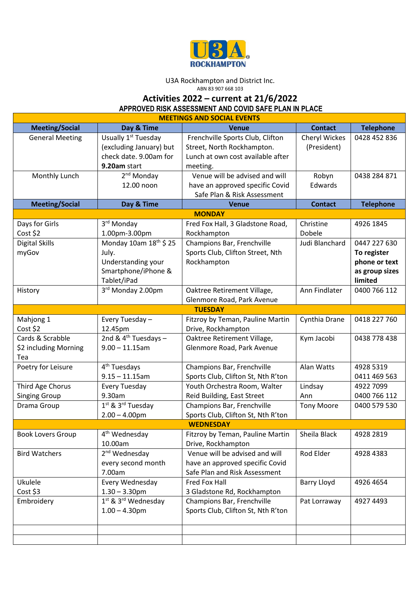

## U3A Rockhampton and District Inc.

ABN 83 907 668 103

## **Activities 2022 – current at 21/6/2022**

**APPROVED RISK ASSESSMENT AND COVID SAFE PLAN IN PLACE** 

| <b>MEETINGS AND SOCIAL EVENTS</b> |                                             |                                    |                    |                  |  |  |  |
|-----------------------------------|---------------------------------------------|------------------------------------|--------------------|------------------|--|--|--|
| <b>Meeting/Social</b>             | Day & Time                                  | <b>Venue</b>                       | <b>Contact</b>     | <b>Telephone</b> |  |  |  |
| <b>General Meeting</b>            | Usually 1 <sup>st</sup> Tuesday             | Frenchville Sports Club, Clifton   | Cheryl Wickes      | 0428 452 836     |  |  |  |
|                                   | (excluding January) but                     | Street, North Rockhampton.         | (President)        |                  |  |  |  |
|                                   | check date. 9.00am for                      | Lunch at own cost available after  |                    |                  |  |  |  |
|                                   | 9.20am start                                | meeting.                           |                    |                  |  |  |  |
| Monthly Lunch                     | 2 <sup>nd</sup> Monday                      | Venue will be advised and will     | Robyn              | 0438 284 871     |  |  |  |
|                                   | 12.00 noon                                  | have an approved specific Covid    | Edwards            |                  |  |  |  |
|                                   |                                             | Safe Plan & Risk Assessment        |                    |                  |  |  |  |
| <b>Meeting/Social</b>             | Day & Time                                  | <b>Venue</b>                       | <b>Contact</b>     | <b>Telephone</b> |  |  |  |
|                                   |                                             | <b>MONDAY</b>                      |                    |                  |  |  |  |
| Days for Girls                    | 3 <sup>rd</sup> Monday                      | Fred Fox Hall, 3 Gladstone Road,   | Christine          | 4926 1845        |  |  |  |
| Cost \$2                          | 1.00pm-3.00pm                               | Rockhampton                        | Dobele             |                  |  |  |  |
| <b>Digital Skills</b>             | Monday 10am 18 <sup>th</sup> \$ 25          | Champions Bar, Frenchville         | Judi Blanchard     | 0447 227 630     |  |  |  |
| myGov                             | July.                                       | Sports Club, Clifton Street, Nth   |                    | To register      |  |  |  |
|                                   | Understanding your                          | Rockhampton                        |                    | phone or text    |  |  |  |
|                                   | Smartphone/iPhone &                         |                                    |                    | as group sizes   |  |  |  |
|                                   | Tablet/iPad                                 |                                    |                    | limited          |  |  |  |
| History                           | 3rd Monday 2.00pm                           | Oaktree Retirement Village,        | Ann Findlater      | 0400 766 112     |  |  |  |
|                                   |                                             | Glenmore Road, Park Avenue         |                    |                  |  |  |  |
|                                   |                                             | <b>TUESDAY</b>                     |                    |                  |  |  |  |
| Mahjong 1                         | Every Tuesday -                             | Fitzroy by Teman, Pauline Martin   | Cynthia Drane      | 0418 227 760     |  |  |  |
| Cost \$2                          | 12.45pm                                     | Drive, Rockhampton                 |                    |                  |  |  |  |
| Cards & Scrabble                  | 2nd & $4th$ Tuesdays -                      | Oaktree Retirement Village,        | Kym Jacobi         | 0438 778 438     |  |  |  |
| \$2 including Morning             | $9.00 - 11.15$ am                           | Glenmore Road, Park Avenue         |                    |                  |  |  |  |
| Tea                               |                                             |                                    |                    |                  |  |  |  |
| Poetry for Leisure                | 4 <sup>th</sup> Tuesdays                    | Champions Bar, Frenchville         | Alan Watts         | 4928 5319        |  |  |  |
|                                   | $9.15 - 11.15$ am                           | Sports Club, Clifton St, Nth R'ton |                    | 0411 469 563     |  |  |  |
| Third Age Chorus                  | Every Tuesday                               | Youth Orchestra Room, Walter       | Lindsay            | 4922 7099        |  |  |  |
| <b>Singing Group</b>              | 9.30am                                      | Reid Building, East Street         | Ann                | 0400 766 112     |  |  |  |
| Drama Group                       | 1 <sup>st</sup> & 3 <sup>rd</sup> Tuesday   | Champions Bar, Frenchville         | <b>Tony Moore</b>  | 0400 579 530     |  |  |  |
|                                   | $2.00 - 4.00$ pm                            | Sports Club, Clifton St, Nth R'ton |                    |                  |  |  |  |
|                                   |                                             | <b>WEDNESDAY</b>                   |                    |                  |  |  |  |
| <b>Book Lovers Group</b>          | 4 <sup>th</sup> Wednesday                   | Fitzroy by Teman, Pauline Martin   | Sheila Black       | 4928 2819        |  |  |  |
|                                   | 10.00am                                     | Drive, Rockhampton                 |                    |                  |  |  |  |
| <b>Bird Watchers</b>              | 2 <sup>nd</sup> Wednesday                   | Venue will be advised and will     | Rod Elder          | 4928 4383        |  |  |  |
|                                   | every second month                          | have an approved specific Covid    |                    |                  |  |  |  |
|                                   | 7.00am                                      | Safe Plan and Risk Assessment      |                    |                  |  |  |  |
| Ukulele                           | Every Wednesday                             | Fred Fox Hall                      | <b>Barry Lloyd</b> | 4926 4654        |  |  |  |
| Cost \$3                          | $1.30 - 3.30$ pm                            | 3 Gladstone Rd, Rockhampton        |                    |                  |  |  |  |
| Embroidery                        | 1 <sup>st</sup> & 3 <sup>rd</sup> Wednesday | Champions Bar, Frenchville         | Pat Lorraway       | 4927 4493        |  |  |  |
|                                   | $1.00 - 4.30$ pm                            | Sports Club, Clifton St, Nth R'ton |                    |                  |  |  |  |
|                                   |                                             |                                    |                    |                  |  |  |  |
|                                   |                                             |                                    |                    |                  |  |  |  |
|                                   |                                             |                                    |                    |                  |  |  |  |